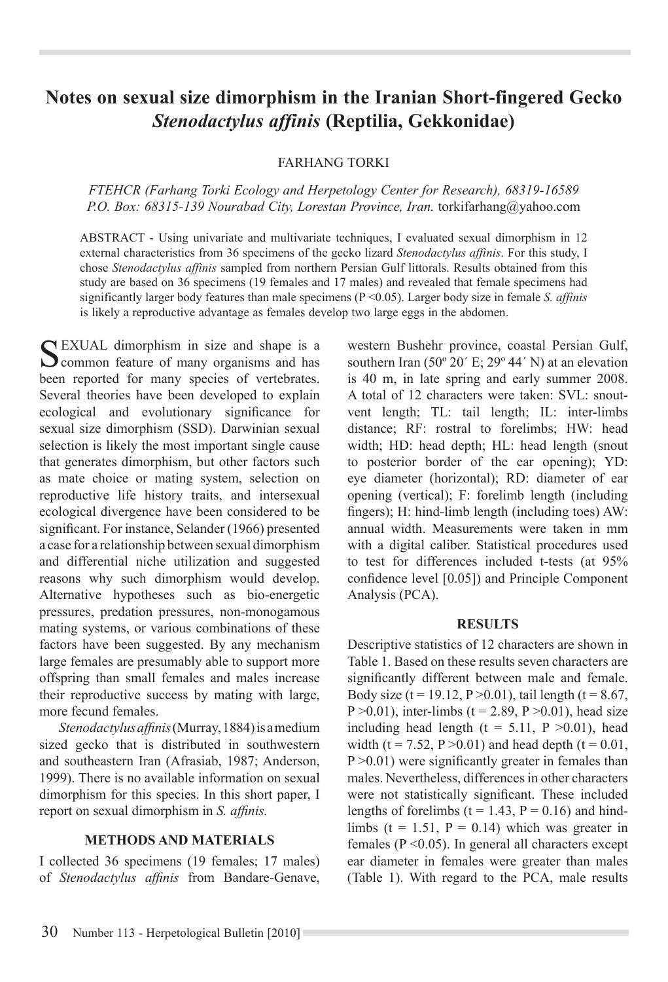# **Notes on sexual size dimorphism in the Iranian Short-fingered Gecko**  *Stenodactylus affinis* **(Reptilia, Gekkonidae)**

FARHANG TORKI

*FTEHCR (Farhang Torki Ecology and Herpetology Center for Research), 68319-16589 P.O. Box: 68315-139 Nourabad City, Lorestan Province, Iran.* torkifarhang@yahoo.com

ABSTRACT - Using univariate and multivariate techniques, I evaluated sexual dimorphism in 12 external characteristics from 36 specimens of the gecko lizard Stenodactylus affinis. For this study, I chose Stenodactylus affinis sampled from northern Persian Gulf littorals. Results obtained from this study are based on 36 specimens (19 females and 17 males) and revealed that female specimens had significantly larger body features than male specimens ( $P \le 0.05$ ). Larger body size in female *S. affinis* is likely a reproductive advantage as females develop two large eggs in the abdomen.

SEXUAL dimorphism in size and shape is a common feature of many organisms and has been reported for many species of vertebrates. Several theories have been developed to explain ecological and evolutionary significance for sexual size dimorphism (SSD). Darwinian sexual selection is likely the most important single cause that generates dimorphism, but other factors such as mate choice or mating system, selection on reproductive life history traits, and intersexual ecological divergence have been considered to be significant. For instance, Selander (1966) presented a case for a relationship between sexual dimorphism and differential niche utilization and suggested reasons why such dimorphism would develop. Alternative hypotheses such as bio-energetic pressures, predation pressures, non-monogamous mating systems, or various combinations of these factors have been suggested. By any mechanism large females are presumably able to support more offspring than small females and males increase their reproductive success by mating with large, more fecund females.

*Stenodactylus affinis* (Murray, 1884) is a medium sized gecko that is distributed in southwestern and southeastern Iran (Afrasiab, 1987; Anderson, 1999). There is no available information on sexual dimorphism for this species. In this short paper, I report on sexual dimorphism in *S. affinis.* 

### **METHODS AND MATERIALS**

I collected 36 specimens (19 females; 17 males) of *Stenodactylus affinis* from Bandare-Genave, western Bushehr province, coastal Persian Gulf, southern Iran (50 $\degree$  20' E; 29 $\degree$  44' N) at an elevation is 40 m, in late spring and early summer 2008. A total of 12 characters were taken: SVL: snoutvent length; TL: tail length; IL: inter-limbs distance; RF: rostral to forelimbs; HW: head width; HD: head depth; HL: head length (snout to posterior border of the ear opening); YD: eye diameter (horizontal); RD: diameter of ear opening (vertical); F: forelimb length (including fingers); H: hind-limb length (including toes)  $AW$ : annual width. Measurements were taken in mm with a digital caliber. Statistical procedures used to test for differences included t-tests (at 95% confidence level  $[0.05]$ ) and Principle Component Analysis (PCA).

#### **RESULTS**

Descriptive statistics of 12 characters are shown in Table 1. Based on these results seven characters are significantly different between male and female. Body size (t = 19.12,  $P > 0.01$ ), tail length (t = 8.67, P > 0.01), inter-limbs (t = 2.89, P > 0.01), head size including head length ( $t = 5.11$ ,  $P > 0.01$ ), head width (t = 7.52, P > 0.01) and head depth (t = 0.01,  $P > 0.01$ ) were significantly greater in females than males. Nevertheless, differences in other characters were not statistically significant. These included lengths of forelimbs ( $t = 1.43$ ,  $P = 0.16$ ) and hindlimbs ( $t = 1.51$ ,  $P = 0.14$ ) which was greater in females ( $P \le 0.05$ ). In general all characters except ear diameter in females were greater than males (Table 1). With regard to the PCA, male results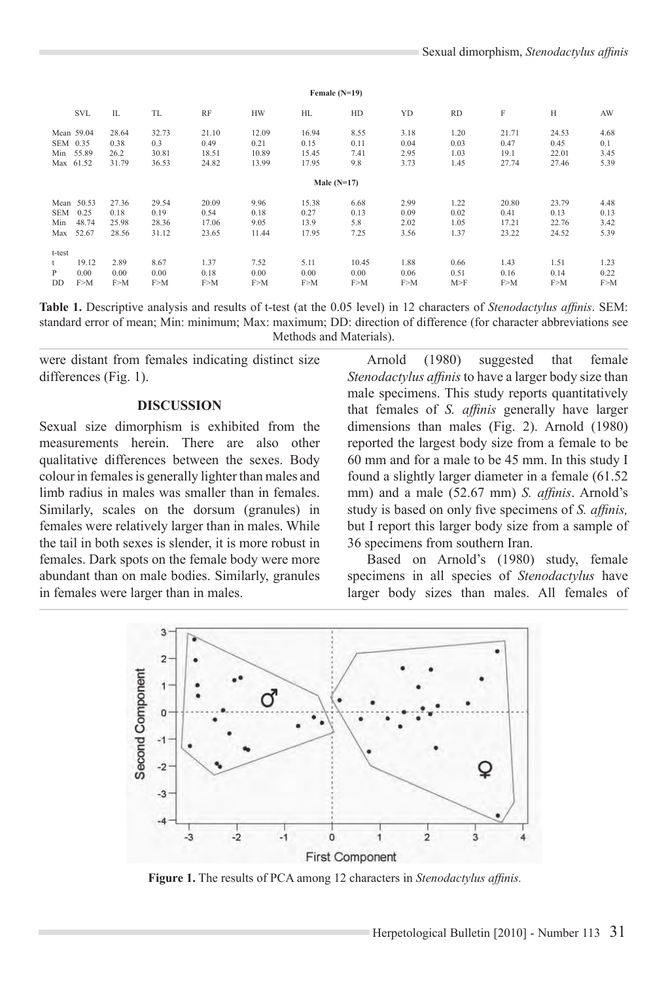|           | <b>SVL</b> | IL    | <b>TL</b> | <b>RF</b> | <b>HW</b> | HL    | HD            | YD   | <b>RD</b> | F     | Н     | AW   |  |
|-----------|------------|-------|-----------|-----------|-----------|-------|---------------|------|-----------|-------|-------|------|--|
|           | Mean 59.04 | 28.64 | 32.73     | 21.10     | 12.09     | 16.94 | 8.55          | 3.18 | 1.20      | 21.71 | 24.53 | 4.68 |  |
| SEM 0.35  |            | 0.38  | 0.3       | 0.49      | 0.21      | 0.15  | 0.11          | 0.04 | 0.03      | 0.47  | 0.45  | 0.1  |  |
| Min 55.89 |            | 26.2  | 30.81     | 18.51     | 10.89     | 15.45 | 7.41          | 2.95 | 1.03      | 19.1  | 22.01 | 3.45 |  |
| Max 61.52 |            | 31.79 | 36.53     | 24.82     | 13.99     | 17.95 | 9.8           | 3.73 | 1.45      | 27.74 | 27.46 | 5.39 |  |
|           |            |       |           |           |           |       | Male $(N=17)$ |      |           |       |       |      |  |
|           | Mean 50.53 | 27.36 | 29.54     | 20.09     | 9.96      | 15.38 | 6.68          | 2.99 | 1.22      | 20.80 | 23.79 | 4.48 |  |
| SEM       | 0.25       | 0.18  | 0.19      | 0.54      | 0.18      | 0.27  | 0.13          | 0.09 | 0.02      | 0.41  | 0.13  | 0.13 |  |
| Min       | 48.74      | 25.98 | 28.36     | 17.06     | 9.05      | 13.9  | 5.8           | 2.02 | 1.05      | 17.21 | 22.76 | 3.42 |  |
| Max       | 52.67      | 28.56 | 31.12     | 23.65     | 11.44     | 17.95 | 7.25          | 3.56 | 1.37      | 23.22 | 24.52 | 5.39 |  |
| t-test    |            |       |           |           |           |       |               |      |           |       |       |      |  |
| t         | 19.12      | 2.89  | 8.67      | 1.37      | 7.52      | 5.11  | 10.45         | 1.88 | 0.66      | 1.43  | 1.51  | 1.23 |  |
| P         | 0.00       | 0.00  | 0.00      | 0.18      | 0.00      | 0.00  | 0.00          | 0.06 | 0.51      | 0.16  | 0.14  | 0.22 |  |
| DD        | F>M        | F>M   | F>M       | F>M       | F>M       | F>M   | F>M           | F>M  | M>F       | F > M | F>M   | F>M  |  |

**Female (N=19)** 

**Table 1.** Descriptive analysis and results of t-test (at the 0.05 level) in 12 characters of *Stenodactylus affinis*. SEM: standard error of mean; Min: minimum; Max: maximum; DD: direction of difference (for character abbreviations see Methods and Materials).

were distant from females indicating distinct size differences (Fig. 1).

#### **DISCUSSION**

Sexual size dimorphism is exhibited from the measurements herein. There are also other qualitative differences between the sexes. Body colour in females is generally lighter than males and limb radius in males was smaller than in females. Similarly, scales on the dorsum (granules) in females were relatively larger than in males. While the tail in both sexes is slender, it is more robust in females. Dark spots on the female body were more abundant than on male bodies. Similarly, granules in females were larger than in males.

Arnold (1980) suggested that female Stenodactylus affinis to have a larger body size than male specimens. This study reports quantitatively that females of *S. affinis* generally have larger dimensions than males (Fig. 2). Arnold (1980) reported the largest body size from a female to be  $60$  mm and for a male to be 45 mm. In this study I found a slightly larger diameter in a female  $(61.52)$ mm) and a male (52.67 mm) *S. affinis*. Arnold's study is based on only five specimens of *S. affinis*, but I report this larger body size from a sample of 36 specimens from southern Iran.

Based on Arnold's (1980) study, female specimens in all species of *Stenodactylus* have larger body sizes than males. All females of



Figure 1. The results of PCA among 12 characters in Stenodactylus affinis.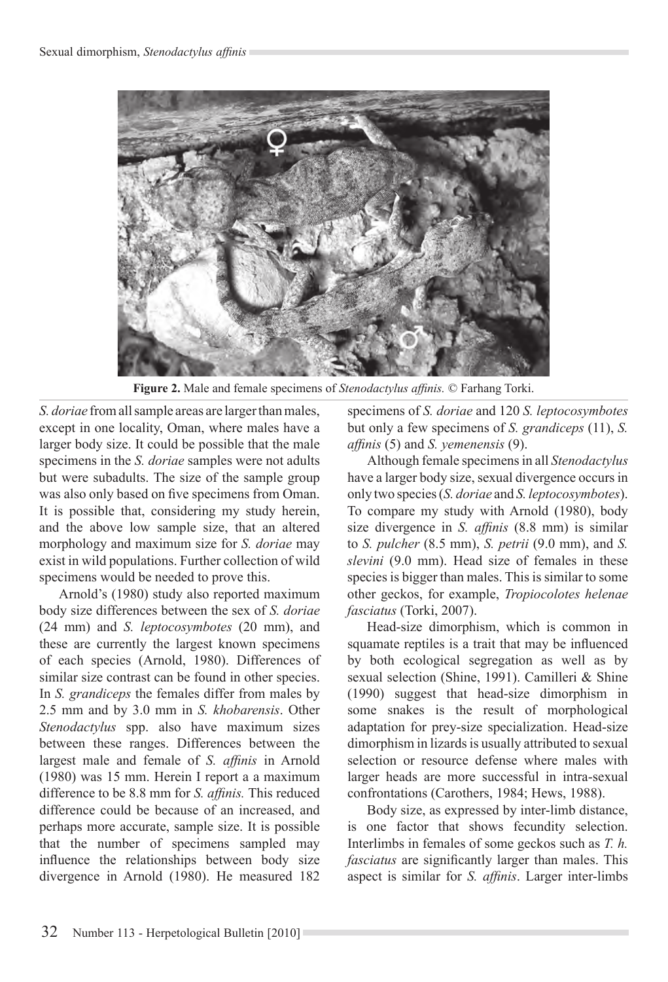

**Figure 2.** Male and female specimens of *Stenodactylus affinis*. © Farhang Torki.

*S. doriae* from all sample areas are larger than males, except in one locality, Oman, where males have a larger body size. It could be possible that the male specimens in the *S. doriae* samples were not adults but were subadults. The size of the sample group was also only based on five specimens from Oman. It is possible that, considering my study herein, and the above low sample size, that an altered morphology and maximum size for S. *doriae* may exist in wild populations. Further collection of wild specimens would be needed to prove this.

Arnold's (1980) study also reported maximum body size differences between the sex of S. doriae (24 mm) and *S. leptocosymbotes* (20 mm), and these are currently the largest known specimens of each species (Arnold, 1980). Differences of similar size contrast can be found in other species. In *S. grandiceps* the females differ from males by 2.5 mm and by 3.0 mm in *S. khobarensis*. Other *Stenodactylus* spp. also have maximum sizes between these ranges. Differences between the largest male and female of *S. affinis* in Arnold (1980) was 15 mm. Herein I report a a maximum difference to be 8.8 mm for S. affinis. This reduced difference could be because of an increased, and perhaps more accurate, sample size. It is possible that the number of specimens sampled may influence the relationships between body size divergence in Arnold (1980). He measured 182

specimens of *S. doriae* and 120 *S. leptocosymbotes* but only a few specimens of *S. grandiceps* (11), *S. affinis* (5) and *S. yemenensis* (9).

Although female specimens in all Stenodactylus have a larger body size, sexual divergence occurs in only two species (*S. doriae* and *S. leptocosymbotes*). To compare my study with Arnold (1980), body size divergence in *S. affinis* (8.8 mm) is similar to *S. pulcher* (8.5 mm), *S. petrii* (9.0 mm), and *S.*  slevini (9.0 mm). Head size of females in these species is bigger than males. This is similar to some other geckos, for example, *Tropiocolotes helenae fasciatus* (Torki, 2007).

Head-size dimorphism, which is common in squamate reptiles is a trait that may be influenced by both ecological segregation as well as by sexual selection (Shine, 1991). Camilleri & Shine (1990) suggest that head-size dimorphism in some snakes is the result of morphological adaptation for prey-size specialization. Head-size dimorphism in lizards is usually attributed to sexual selection or resource defense where males with larger heads are more successful in intra-sexual confrontations (Carothers, 1984; Hews, 1988).

Body size, as expressed by inter-limb distance, is one factor that shows fecundity selection. Interlimbs in females of some geckos such as T. h. *fasciatus* are significantly larger than males. This aspect is similar for *S. affinis*. Larger inter-limbs